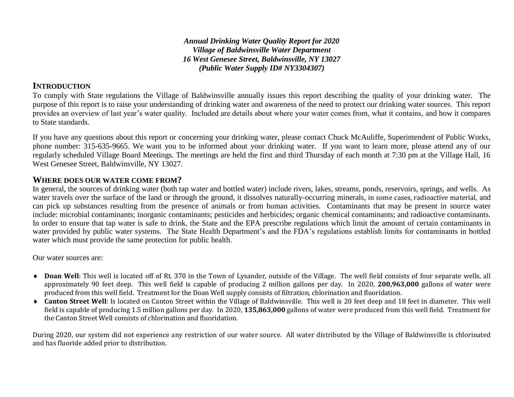*Annual Drinking Water Quality Report for 2020 Village of Baldwinsville Water Department 16 West Genesee Street, Baldwinsville, NY 13027 (Public Water Supply ID# NY3304307)*

## **INTRODUCTION**

To comply with State regulations the Village of Baldwinsville annually issues this report describing the quality of your drinking water. The purpose of this report is to raise your understanding of drinking water and awareness of the need to protect our drinking water sources. This report provides an overview of last year's water quality. Included are details about where your water comes from, what it contains, and how it compares to State standards.

If you have any questions about this report or concerning your drinking water, please contact Chuck McAuliffe, Superintendent of Public Works, phone number: 315-635-9665. We want you to be informed about your drinking water. If you want to learn more, please attend any of our regularly scheduled Village Board Meetings. The meetings are held the first and third Thursday of each month at 7:30 pm at the Village Hall, 16 West Genesee Street, Baldwinsville, NY 13027.

### **WHERE DOES OUR WATER COME FROM?**

In general, the sources of drinking water (both tap water and bottled water) include rivers, lakes, streams, ponds, reservoirs, springs, and wells. As water travels over the surface of the land or through the ground, it dissolves naturally-occurring minerals, in some cases, radioactive material, and can pick up substances resulting from the presence of animals or from human activities. Contaminants that may be present in source water include: microbial contaminants; inorganic contaminants; pesticides and herbicides; organic chemical contaminants; and radioactive contaminants. In order to ensure that tap water is safe to drink, the State and the EPA prescribe regulations which limit the amount of certain contaminants in water provided by public water systems. The State Health Department's and the FDA's regulations establish limits for contaminants in bottled water which must provide the same protection for public health.

Our water sources are:

- ◆ **Doan Well**: This well is located off of Rt. 370 in the Town of Lysander, outside of the Village. The well field consists of four separate wells, all approximately 90 feet deep. This well field is capable of producing 2 million gallons per day. In 2020, **200,963,000** gallons of water were produced from this well field. Treatment for the Doan Well supply consists of filtration, chlorination and fluoridation.
- **Canton Street Well**: Is located on Canton Street within the Village of Baldwinsville. This well is 20 feet deep and 18 feet in diameter. This well field is capable of producing 1.5 million gallons per day. In 2020, **135,863,000** gallons of water were produced from this well field. Treatment for the Canton Street Well consists of chlorination and fluoridation.

During 2020, our system did not experience any restriction of our water source. All water distributed by the Village of Baldwinsville is chlorinated and has fluoride added prior to distribution.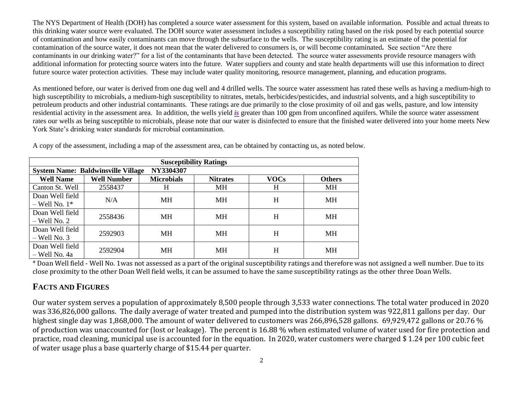The NYS Department of Health (DOH) has completed a source water assessment for this system, based on available information. Possible and actual threats to this drinking water source were evaluated. The DOH source water assessment includes a susceptibility rating based on the risk posed by each potential source of contamination and how easily contaminants can move through the subsurface to the wells. The susceptibility rating is an estimate of the potential for contamination of the source water, it does not mean that the water delivered to consumers is, or will become contaminated*.* See section "Are there contaminants in our drinking water?" for a list of the contaminants that have been detected. The source water assessments provide resource managers with additional information for protecting source waters into the future. Water suppliers and county and state health departments will use this information to direct future source water protection activities. These may include water quality monitoring, resource management, planning, and education programs.

As mentioned before, our water is derived from one dug well and 4 drilled wells. The source water assessment has rated these wells as having a medium-high to high susceptibility to microbials, a medium-high susceptibility to nitrates, metals, herbicides/pesticides, and industrial solvents, and a high susceptibility to petroleum products and other industrial contaminants. These ratings are due primarily to the close proximity of oil and gas wells, pasture, and low intensity residential activity in the assessment area. In addition, the wells yield *is* greater than 100 gpm from unconfined aquifers. While the source water assessment rates our wells as being susceptible to microbials, please note that our water is disinfected to ensure that the finished water delivered into your home meets New York State's drinking water standards for microbial contamination.

| <b>Susceptibility Ratings</b>                          |                    |                   |                 |             |               |  |  |  |  |  |
|--------------------------------------------------------|--------------------|-------------------|-----------------|-------------|---------------|--|--|--|--|--|
| NY3304307<br><b>System Name: Baldwinsville Village</b> |                    |                   |                 |             |               |  |  |  |  |  |
| <b>Well Name</b>                                       | <b>Well Number</b> | <b>Microbials</b> | <b>Nitrates</b> | <b>VOCs</b> | <b>Others</b> |  |  |  |  |  |
| Canton St. Well                                        | 2558437            | H                 | <b>MH</b>       | H           | MH            |  |  |  |  |  |
| Doan Well field                                        | N/A                | MH                | МH              | H           | MН            |  |  |  |  |  |
| $-$ Well No. $1*$                                      |                    |                   |                 |             |               |  |  |  |  |  |
| Doan Well field                                        | 2558436            | <b>MH</b>         | <b>MH</b>       | H           | MН            |  |  |  |  |  |
| $-$ Well No. 2                                         |                    |                   |                 |             |               |  |  |  |  |  |
| Doan Well field                                        | 2592903            | <b>MH</b>         | МH              | H           | MН            |  |  |  |  |  |
| $-$ Well No. 3                                         |                    |                   |                 |             |               |  |  |  |  |  |
| Doan Well field                                        | 2592904            | MН                | МH              | H           | MН            |  |  |  |  |  |
| – Well No. 4a                                          |                    |                   |                 |             |               |  |  |  |  |  |

A copy of the assessment, including a map of the assessment area, can be obtained by contacting us, as noted below.

\* Doan Well field - Well No. 1was not assessed as a part of the original susceptibility ratings and therefore was not assigned a well number. Due to its close proximity to the other Doan Well field wells, it can be assumed to have the same susceptibility ratings as the other three Doan Wells.

# **FACTS AND FIGURES**

Our water system serves a population of approximately 8,500 people through 3,533 water connections. The total water produced in 2020 was 336,826,000 gallons. The daily average of water treated and pumped into the distribution system was 922,811 gallons per day. Our highest single day was 1,868,000. The amount of water delivered to customers was 266,896,528 gallons. 69,929,472 gallons or 20.76 % of production was unaccounted for (lost or leakage). The percent is 16.88 % when estimated volume of water used for fire protection and practice, road cleaning, municipal use is accounted for in the equation. In 2020, water customers were charged \$ 1.24 per 100 cubic feet of water usage plus a base quarterly charge of \$15.44 per quarter.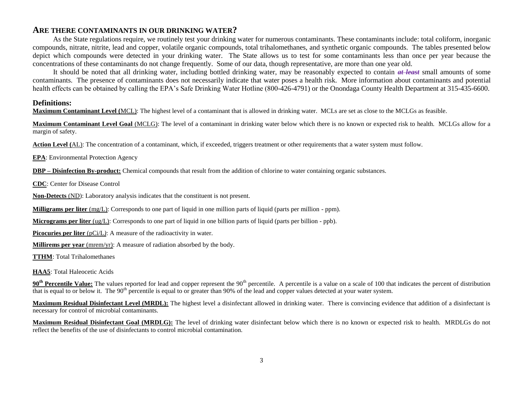#### **ARE THERE CONTAMINANTS IN OUR DRINKING WATER?**

As the State regulations require, we routinely test your drinking water for numerous contaminants. These contaminants include: total coliform, inorganic compounds, nitrate, nitrite, lead and copper, volatile organic compounds, total trihalomethanes, and synthetic organic compounds. The tables presented below depict which compounds were detected in your drinking water. The State allows us to test for some contaminants less than once per year because the concentrations of these contaminants do not change frequently. Some of our data, though representative, are more than one year old.

It should be noted that all drinking water, including bottled drinking water, may be reasonably expected to contain *at least* small amounts of some contaminants. The presence of contaminants does not necessarily indicate that water poses a health risk. More information about contaminants and potential health effects can be obtained by calling the EPA's Safe Drinking Water Hotline (800-426-4791) or the Onondaga County Health Department at 315-435-6600.

#### **Definitions:**

**Maximum Contaminant Level (**MCL): The highest level of a contaminant that is allowed in drinking water. MCLs are set as close to the MCLGs as feasible.

**Maximum Contaminant Level Goal** (MCLG): The level of a contaminant in drinking water below which there is no known or expected risk to health. MCLGs allow for a margin of safety.

**Action Level (**AL): The concentration of a contaminant, which, if exceeded, triggers treatment or other requirements that a water system must follow.

**EPA**: Environmental Protection Agency

**DBP – Disinfection By-product:** Chemical compounds that result from the addition of chlorine to water containing organic substances.

**CDC**: Center for Disease Control

**Non-Detects** (ND): Laboratory analysis indicates that the constituent is not present.

**Milligrams per liter** (mg/L): Corresponds to one part of liquid in one million parts of liquid (parts per million - ppm).

**Micrograms per liter** (ug/L): Corresponds to one part of liquid in one billion parts of liquid (parts per billion - ppb).

**Picocuries per liter** (pCi/L): A measure of the radioactivity in water.

**Millirems per year** (mrem/yr): A measure of radiation absorbed by the body.

**TTHM**: Total Trihalomethanes

**HAA5**: Total Haleocetic Acids

**90<sup>th</sup> Percentile Value:** The values reported for lead and copper represent the 90<sup>th</sup> percentile. A percentile is a value on a scale of 100 that indicates the percent of distribution that is equal to or below it. The  $90<sup>th</sup>$  percentile is equal to or greater than  $90\%$  of the lead and copper values detected at your water system.

**Maximum Residual Disinfectant Level (MRDL):** The highest level a disinfectant allowed in drinking water. There is convincing evidence that addition of a disinfectant is necessary for control of microbial contaminants.

**Maximum Residual Disinfectant Goal (MRDLG):** The level of drinking water disinfectant below which there is no known or expected risk to health. MRDLGs do not reflect the benefits of the use of disinfectants to control microbial contamination.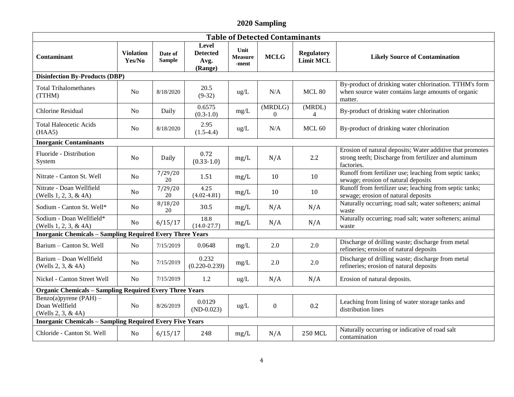## **2020 Sampling**

| <b>Table of Detected Contaminants</b>                            |                            |                          |                                                    |                                 |                           |                                |                                                                                                                                 |  |  |
|------------------------------------------------------------------|----------------------------|--------------------------|----------------------------------------------------|---------------------------------|---------------------------|--------------------------------|---------------------------------------------------------------------------------------------------------------------------------|--|--|
| Contaminant                                                      | <b>Violation</b><br>Yes/No | Date of<br><b>Sample</b> | <b>Level</b><br><b>Detected</b><br>Avg.<br>(Range) | Unit<br><b>Measure</b><br>-ment | <b>MCLG</b>               | <b>Regulatory</b><br>Limit MCL | <b>Likely Source of Contamination</b>                                                                                           |  |  |
| <b>Disinfection By-Products (DBP)</b>                            |                            |                          |                                                    |                                 |                           |                                |                                                                                                                                 |  |  |
| <b>Total Trihalomethanes</b><br>(TTHM)                           | N <sub>0</sub>             | 8/18/2020                | 20.5<br>$(9-32)$                                   | ug/L                            | N/A                       | MCL80                          | By-product of drinking water chlorination. TTHM's form<br>when source water contains large amounts of organic<br>matter.        |  |  |
| <b>Chlorine Residual</b>                                         | N <sub>0</sub>             | Daily                    | 0.6575<br>$(0.3-1.0)$                              | mg/L                            | (MRDLG)<br>$\overline{0}$ | (MRDL)<br>$\overline{4}$       | By-product of drinking water chlorination                                                                                       |  |  |
| <b>Total Haleocetic Acids</b><br>(HAA5)                          | N <sub>0</sub>             | 8/18/2020                | 2.95<br>$(1.5-4.4)$                                | $ug/L$                          | N/A                       | MCL 60                         | By-product of drinking water chlorination                                                                                       |  |  |
| <b>Inorganic Contaminants</b>                                    |                            |                          |                                                    |                                 |                           |                                |                                                                                                                                 |  |  |
| Fluoride - Distribution<br>System                                | No                         | Daily                    | 0.72<br>$(0.33 - 1.0)$                             | mg/L                            | N/A                       | 2.2                            | Erosion of natural deposits; Water additive that promotes<br>strong teeth; Discharge from fertilizer and aluminum<br>factories. |  |  |
| Nitrate - Canton St. Well                                        | No                         | 7/29/20<br>20            | 1.51                                               | mg/L                            | 10                        | 10                             | Runoff from fertilizer use; leaching from septic tanks;<br>sewage; erosion of natural deposits                                  |  |  |
| Nitrate - Doan Wellfield<br>(Wells $1, 2, 3, \& 4A$ )            | N <sub>0</sub>             | 7/29/20<br>20            | 4.25<br>$(4.02 - 4.81)$                            | mg/L                            | 10                        | 10                             | Runoff from fertilizer use; leaching from septic tanks;<br>sewage; erosion of natural deposits                                  |  |  |
| Sodium - Canton St. Well*                                        | N <sub>0</sub>             | 8/18/20<br>20            | 30.5                                               | mg/L                            | N/A                       | N/A                            | Naturally occurring; road salt; water softeners; animal<br>waste                                                                |  |  |
| Sodium - Doan Wellfield*<br>(Wells 1, 2, 3, & 4A)                | No                         | 6/15/17                  | 18.8<br>$(14.0 - 27.7)$                            | mg/L                            | N/A                       | N/A                            | Naturally occurring; road salt; water softeners; animal<br>waste                                                                |  |  |
| <b>Inorganic Chemicals - Sampling Required Every Three Years</b> |                            |                          |                                                    |                                 |                           |                                |                                                                                                                                 |  |  |
| Barium - Canton St. Well                                         | N <sub>0</sub>             | 7/15/2019                | 0.0648                                             | $mg/L$                          | 2.0                       | 2.0                            | Discharge of drilling waste; discharge from metal<br>refineries; erosion of natural deposits                                    |  |  |
| Barium - Doan Wellfield<br>(Wells 2, 3, & 4A)                    | N <sub>o</sub>             | 7/15/2019                | 0.232<br>$(0.220 - 0.239)$                         | mg/L                            | 2.0                       | 2.0                            | Discharge of drilling waste; discharge from metal<br>refineries; erosion of natural deposits                                    |  |  |
| Nickel - Canton Street Well                                      | N <sub>o</sub>             | 7/15/2019                | 1.2                                                | $ug/L$                          | N/A                       | N/A                            | Erosion of natural deposits.                                                                                                    |  |  |
| <b>Organic Chemicals - Sampling Required Every Three Years</b>   |                            |                          |                                                    |                                 |                           |                                |                                                                                                                                 |  |  |
| Benzo(a)pyrene (PAH) $-$<br>Doan Wellfield<br>(Wells 2, 3, & 4A) | N <sub>o</sub>             | 8/26/2019                | 0.0129<br>$(ND-0.023)$                             | $ug/L$                          | $\boldsymbol{0}$          | 0.2                            | Leaching from lining of water storage tanks and<br>distribution lines                                                           |  |  |
| <b>Inorganic Chemicals - Sampling Required Every Five Years</b>  |                            |                          |                                                    |                                 |                           |                                |                                                                                                                                 |  |  |
| Chloride - Canton St. Well                                       | N <sub>0</sub>             | 6/15/17                  | 248                                                | mg/L                            | N/A                       | <b>250 MCL</b>                 | Naturally occurring or indicative of road salt<br>contamination                                                                 |  |  |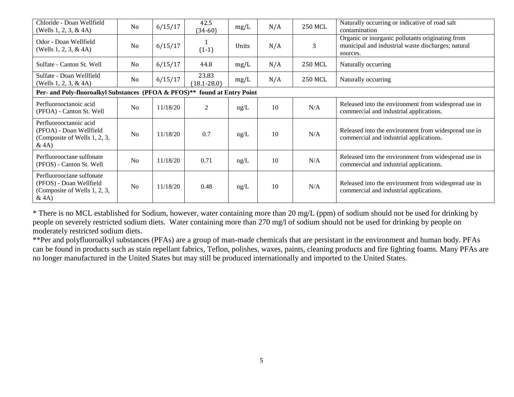| Chloride - Doan Wellfield<br>(Wells 1, 2, 3, & 4A)                                           | No             | 6/15/17  | 42.5<br>$(34-60)$        | mg/L  | N/A | <b>250 MCL</b> | Naturally occurring or indicative of road salt<br>contamination                                                    |  |
|----------------------------------------------------------------------------------------------|----------------|----------|--------------------------|-------|-----|----------------|--------------------------------------------------------------------------------------------------------------------|--|
| Odor - Doan Wellfield<br>(Wells 1, 2, 3, & 4A)                                               | N <sub>0</sub> | 6/15/17  | $(1-1)$                  | Units | N/A | 3              | Organic or inorganic pollutants originating from<br>municipal and industrial waste discharges; natural<br>sources. |  |
| Sulfate - Canton St. Well                                                                    | No             | 6/15/17  | 44.8                     | mg/L  | N/A | 250 MCL        | Naturally occurring                                                                                                |  |
| Sulfate - Doan Wellfield<br>(Wells 1, 2, 3, & 4A)                                            | No             | 6/15/17  | 23.83<br>$(18.1 - 28.0)$ | mg/L  | N/A | <b>250 MCL</b> | Naturally occurring                                                                                                |  |
| Per- and Poly-fluoroalkyl Substances (PFOA & PFOS)**<br>found at Entry Point                 |                |          |                          |       |     |                |                                                                                                                    |  |
| Perfluorooctanoic acid<br>(PFOA) - Canton St. Well                                           | No             | 11/18/20 | 2                        | ng/L  | 10  | N/A            | Released into the environment from widespread use in<br>commercial and industrial applications.                    |  |
| Perfluorooctanoic acid<br>(PFOA) - Doan Wellfield<br>(Composite of Wells 1, 2, 3,<br>&4A)    | No             | 11/18/20 | 0.7                      | ng/L  | 10  | N/A            | Released into the environment from widespread use in<br>commercial and industrial applications.                    |  |
| Perfluorooctane sulfonate<br>(PFOS) - Canton St. Well                                        | N <sub>o</sub> | 11/18/20 | 0.71                     | ng/L  | 10  | N/A            | Released into the environment from widespread use in<br>commercial and industrial applications.                    |  |
| Perfluorooctane sulfonate<br>(PFOS) - Doan Wellfield<br>(Composite of Wells 1, 2, 3,<br>&4A) | N <sub>o</sub> | 11/18/20 | 0.48                     | ng/L  | 10  | N/A            | Released into the environment from widespread use in<br>commercial and industrial applications.                    |  |

\* There is no MCL established for Sodium, however, water containing more than 20 mg/L (ppm) of sodium should not be used for drinking by people on severely restricted sodium diets. Water containing more than 270 mg/l of sodium should not be used for drinking by people on moderately restricted sodium diets.

\*\*Per and polyfluoroalkyl substances (PFAs) are a group of man-made chemicals that are persistant in the environment and human body. PFAs can be found in products such as stain repellant fabrics, Teflon, polishes, waxes, paints, cleaning products and fire fighting foams. Many PFAs are no longer manufactured in the United States but may still be produced internationally and imported to the United States.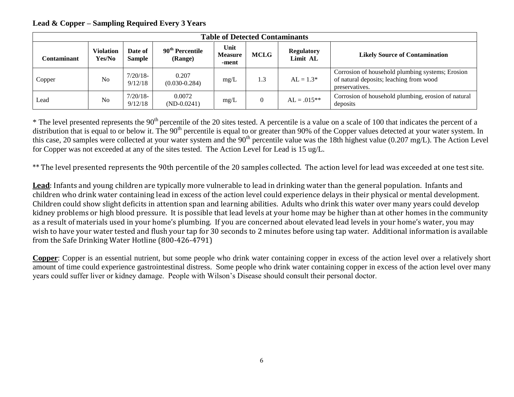## **Lead & Copper – Sampling Required Every 3 Years**

| <b>Table of Detected Contaminants</b>                   |                |                                        |                                 |             |                               |                                       |                                                                                                               |  |  |
|---------------------------------------------------------|----------------|----------------------------------------|---------------------------------|-------------|-------------------------------|---------------------------------------|---------------------------------------------------------------------------------------------------------------|--|--|
| Violation<br>Date of<br>Yes/No<br>Sample<br>Contaminant |                | 90 <sup>th</sup> Percentile<br>(Range) | Unit<br><b>Measure</b><br>-ment | <b>MCLG</b> | <b>Regulatory</b><br>Limit AL | <b>Likely Source of Contamination</b> |                                                                                                               |  |  |
| Copper                                                  | N <sub>0</sub> | $7/20/18$ -<br>9/12/18                 | 0.207<br>$(0.030 - 0.284)$      | mg/L        | 1.3                           | $AL = 1.3*$                           | Corrosion of household plumbing systems; Erosion<br>of natural deposits; leaching from wood<br>preservatives. |  |  |
| Lead                                                    | N <sub>o</sub> | $7/20/18$ -<br>9/12/18                 | 0.0072<br>$(ND-0.0241)$         | mg/L        | $\Omega$                      | $AL = .015**$                         | Corrosion of household plumbing, erosion of natural<br>deposits                                               |  |  |

 $*$  The level presented represents the 90<sup>th</sup> percentile of the 20 sites tested. A percentile is a value on a scale of 100 that indicates the percent of a distribution that is equal to or below it. The 90<sup>th</sup> percentile is equal to or greater than 90% of the Copper values detected at your water system. In this case, 20 samples were collected at your water system and the  $90<sup>th</sup>$  percentile value was the 18th highest value (0.207 mg/L). The Action Level for Copper was not exceeded at any of the sites tested. The Action Level for Lead is 15 ug/L.

\*\* The level presented represents the 90th percentile of the 20 samples collected. The action level for lead was exceeded at one test site.

**Lead**: Infants and young children are typically more vulnerable to lead in drinking water than the general population. Infants and children who drink water containing lead in excess of the action level could experience delays in their physical or mental development. Children could show slight deficits in attention span and learning abilities. Adults who drink this water over many years could develop kidney problems or high blood pressure. It is possible that lead levels at your home may be higher than at other homes in the community as a result of materials used in your home's plumbing. If you are concerned about elevated lead levels in your home's water, you may wish to have your water tested and flush your tap for 30 seconds to 2 minutes before using tap water. Additional information is available from the Safe Drinking Water Hotline (800-426-4791)

**Copper**: Copper is an essential nutrient, but some people who drink water containing copper in excess of the action level over a relatively short amount of time could experience gastrointestinal distress. Some people who drink water containing copper in excess of the action level over many years could suffer liver or kidney damage. People with Wilson's Disease should consult their personal doctor.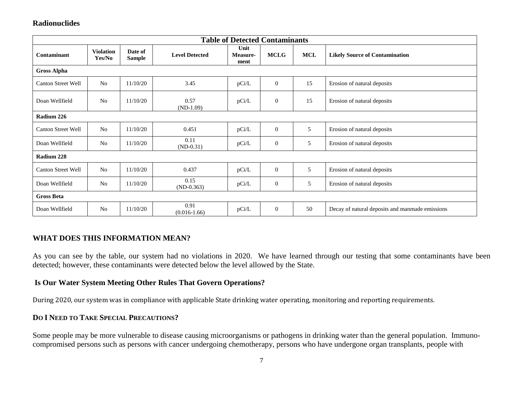### **Radionuclides**

| <b>Table of Detected Contaminants</b> |                            |                          |                          |                          |                  |            |                                                 |  |  |  |
|---------------------------------------|----------------------------|--------------------------|--------------------------|--------------------------|------------------|------------|-------------------------------------------------|--|--|--|
| Contaminant                           | <b>Violation</b><br>Yes/No | Date of<br><b>Sample</b> | <b>Level Detected</b>    | Unit<br>Measure-<br>ment | <b>MCLG</b>      | <b>MCL</b> | <b>Likely Source of Contamination</b>           |  |  |  |
| <b>Gross Alpha</b>                    |                            |                          |                          |                          |                  |            |                                                 |  |  |  |
| <b>Canton Street Well</b>             | No                         | 11/10/20                 | 3.45                     | pCi/L                    | $\mathbf{0}$     | 15         | Erosion of natural deposits                     |  |  |  |
| Doan Wellfield                        | N <sub>o</sub>             | 11/10/20                 | 0.57<br>$(ND-1.09)$      | pCi/L                    | $\boldsymbol{0}$ | 15         | Erosion of natural deposits                     |  |  |  |
| Radium 226                            |                            |                          |                          |                          |                  |            |                                                 |  |  |  |
| <b>Canton Street Well</b>             | N <sub>o</sub>             | 11/10/20                 | 0.451                    | pCi/L                    | $\mathbf{0}$     | 5          | Erosion of natural deposits                     |  |  |  |
| Doan Wellfield                        | N <sub>o</sub>             | 11/10/20                 | 0.11<br>$(ND-0.31)$      | pCi/L                    | $\boldsymbol{0}$ | 5          | Erosion of natural deposits                     |  |  |  |
| Radium 228                            |                            |                          |                          |                          |                  |            |                                                 |  |  |  |
| <b>Canton Street Well</b>             | No                         | 11/10/20                 | 0.437                    | pCi/L                    | $\boldsymbol{0}$ | 5          | Erosion of natural deposits                     |  |  |  |
| Doan Wellfield                        | N <sub>o</sub>             | 11/10/20                 | 0.15<br>$(ND-0.363)$     | pCi/L                    | $\boldsymbol{0}$ | 5          | Erosion of natural deposits                     |  |  |  |
| <b>Gross Beta</b>                     |                            |                          |                          |                          |                  |            |                                                 |  |  |  |
| Doan Wellfield                        | N <sub>o</sub>             | 11/10/20                 | 0.91<br>$(0.016 - 1.66)$ | pCi/L                    | $\boldsymbol{0}$ | 50         | Decay of natural deposits and manmade emissions |  |  |  |

### **WHAT DOES THIS INFORMATION MEAN?**

As you can see by the table, our system had no violations in 2020. We have learned through our testing that some contaminants have been detected; however, these contaminants were detected below the level allowed by the State.

#### **Is Our Water System Meeting Other Rules That Govern Operations?**

During 2020, our system was in compliance with applicable State drinking water operating, monitoring and reporting requirements.

#### **DO I NEED TO TAKE SPECIAL PRECAUTIONS?**

Some people may be more vulnerable to disease causing microorganisms or pathogens in drinking water than the general population. Immunocompromised persons such as persons with cancer undergoing chemotherapy, persons who have undergone organ transplants, people with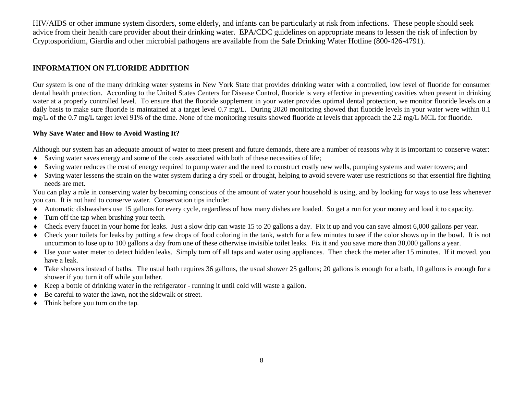HIV/AIDS or other immune system disorders, some elderly, and infants can be particularly at risk from infections. These people should seek advice from their health care provider about their drinking water. EPA/CDC guidelines on appropriate means to lessen the risk of infection by Cryptosporidium, Giardia and other microbial pathogens are available from the Safe Drinking Water Hotline (800-426-4791).

#### **INFORMATION ON FLUORIDE ADDITION**

Our system is one of the many drinking water systems in New York State that provides drinking water with a controlled, low level of fluoride for consumer dental health protection. According to the United States Centers for Disease Control, fluoride is very effective in preventing cavities when present in drinking water at a properly controlled level. To ensure that the fluoride supplement in your water provides optimal dental protection, we monitor fluoride levels on a daily basis to make sure fluoride is maintained at a target level 0.7 mg/L. During 2020 monitoring showed that fluoride levels in your water were within 0.1 mg/L of the 0.7 mg/L target level 91% of the time. None of the monitoring results showed fluoride at levels that approach the 2.2 mg/L MCL for fluoride.

#### **Why Save Water and How to Avoid Wasting It?**

Although our system has an adequate amount of water to meet present and future demands, there are a number of reasons why it is important to conserve water:

- Saving water saves energy and some of the costs associated with both of these necessities of life;
- Saving water reduces the cost of energy required to pump water and the need to construct costly new wells, pumping systems and water towers; and
- Saving water lessens the strain on the water system during a dry spell or drought, helping to avoid severe water use restrictions so that essential fire fighting needs are met.

You can play a role in conserving water by becoming conscious of the amount of water your household is using, and by looking for ways to use less whenever you can. It is not hard to conserve water. Conservation tips include:

- Automatic dishwashers use 15 gallons for every cycle, regardless of how many dishes are loaded. So get a run for your money and load it to capacity.
- Turn off the tap when brushing your teeth.
- Check every faucet in your home for leaks. Just a slow drip can waste 15 to 20 gallons a day. Fix it up and you can save almost 6,000 gallons per year.
- Check your toilets for leaks by putting a few drops of food coloring in the tank, watch for a few minutes to see if the color shows up in the bowl. It is not uncommon to lose up to 100 gallons a day from one of these otherwise invisible toilet leaks. Fix it and you save more than 30,000 gallons a year.
- Use your water meter to detect hidden leaks. Simply turn off all taps and water using appliances. Then check the meter after 15 minutes. If it moved, you have a leak.
- Take showers instead of baths. The usual bath requires 36 gallons, the usual shower 25 gallons; 20 gallons is enough for a bath, 10 gallons is enough for a shower if you turn it off while you lather*.*
- Keep a bottle of drinking water in the refrigerator running it until cold will waste a gallon.
- Be careful to water the lawn, not the sidewalk or street.
- Think before you turn on the tap*.*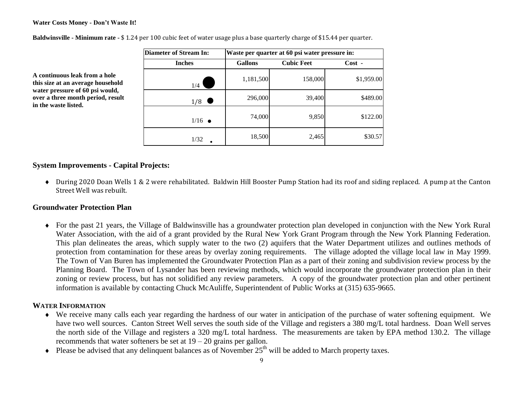#### **Water Costs Money - Don't Waste It!**

**A continuous leak from a hole this size at an average household water pressure of 60 psi would, over a three month period, result**

**in the waste listed.**

| Diameter of Stream In: | Waste per quarter at 60 psi water pressure in: |                   |            |  |  |  |  |  |
|------------------------|------------------------------------------------|-------------------|------------|--|--|--|--|--|
| <b>Inches</b>          | <b>Gallons</b>                                 | <b>Cubic Feet</b> | $Cost -$   |  |  |  |  |  |
| 1/4                    | 1,181,500                                      | 158,000           | \$1,959.00 |  |  |  |  |  |
| 1/8                    | 296,000                                        | 39,400            | \$489.00   |  |  |  |  |  |
| $1/16$ $\bullet$       | 74,000                                         | 9,850             | \$122.00   |  |  |  |  |  |
| 1/32                   | 18,500                                         | 2,465             | \$30.57    |  |  |  |  |  |

**Baldwinsville - Minimum rate -** \$ 1.24 per 100 cubic feet of water usage plus a base quarterly charge of \$15.44 per quarter.

#### **System Improvements - Capital Projects:**

 During 2020 Doan Wells 1 & 2 were rehabilitated. Baldwin Hill Booster Pump Station had its roof and siding replaced. A pump at the Canton Street Well was rebuilt.

### **Groundwater Protection Plan**

 For the past 21 years, the Village of Baldwinsville has a groundwater protection plan developed in conjunction with the New York Rural Water Association, with the aid of a grant provided by the Rural New York Grant Program through the New York Planning Federation. This plan delineates the areas, which supply water to the two (2) aquifers that the Water Department utilizes and outlines methods of protection from contamination for these areas by overlay zoning requirements. The village adopted the village local law in May 1999. The Town of Van Buren has implemented the Groundwater Protection Plan as a part of their zoning and subdivision review process by the Planning Board. The Town of Lysander has been reviewing methods, which would incorporate the groundwater protection plan in their zoning or review process, but has not solidified any review parameters. A copy of the groundwater protection plan and other pertinent information is available by contacting Chuck McAuliffe, Superintendent of Public Works at (315) 635-9665.

#### **WATER INFORMATION**

- We receive many calls each year regarding the hardness of our water in anticipation of the purchase of water softening equipment. We have two well sources. Canton Street Well serves the south side of the Village and registers a 380 mg/L total hardness. Doan Well serves the north side of the Village and registers a 320 mg/L total hardness. The measurements are taken by EPA method 130.2. The village recommends that water softeners be set at  $19 - 20$  grains per gallon.
- $\bullet$  Please be advised that any delinquent balances as of November 25<sup>th</sup> will be added to March property taxes.